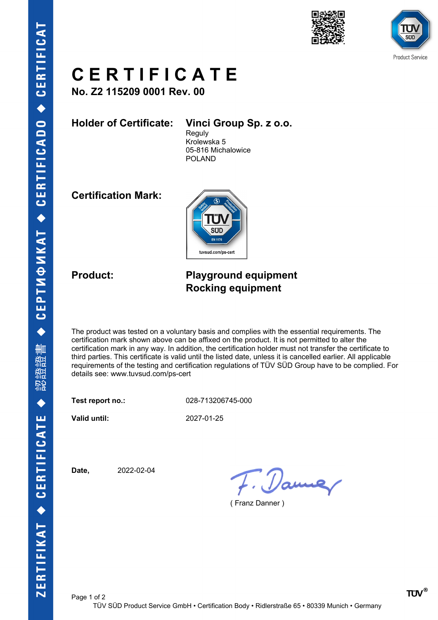



## **C E R T I F I C A T E**

**No. Z2 115209 0001 Rev. 00**

**Holder of Certificate: Vinci Group Sp. z o.o.**

**Reguly** Krolewska 5 05-816 Michalowice POLAND

**Certification Mark:**



### **Product: Playground equipment Rocking equipment**

The product was tested on a voluntary basis and complies with the essential requirements. The certification mark shown above can be affixed on the product. It is not permitted to alter the certification mark in any way. In addition, the certification holder must not transfer the certificate to third parties. This certificate is valid until the listed date, unless it is cancelled earlier. All applicable requirements of the testing and certification regulations of TÜV SÜD Group have to be complied. For details see: www.tuvsud.com/ps-cert

**Test report no.:** 028-713206745-000

**Valid until:** 2027-01-25

**Date,** 2022-02-04

7. Dame

( Franz Danner )